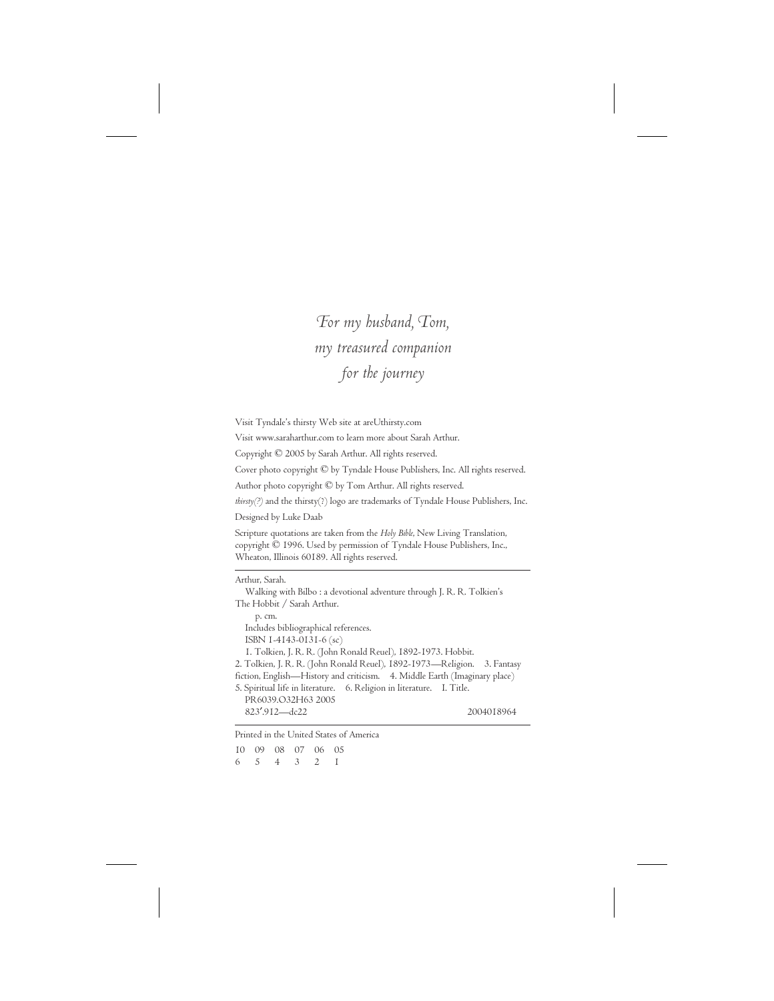## *For my husband, Tom, my treasured companion for the journey*

Visit Tyndale's thirsty Web site at areUthirsty.com

Visit www.saraharthur.com to learn more about Sarah Arthur.

Copyright © 2005 by Sarah Arthur. All rights reserved.

Cover photo copyright © by Tyndale House Publishers, Inc. All rights reserved.

Author photo copyright © by Tom Arthur. All rights reserved.

*thirsty(?)* and the thirsty(?) logo are trademarks of Tyndale House Publishers, Inc.

Designed by Luke Daab

Scripture quotations are taken from the *Holy Bible*, New Living Translation, copyright © 1996. Used by permission of Tyndale House Publishers, Inc., Wheaton, Illinois 60189. All rights reserved.

#### Arthur, Sarah.

Walking with Bilbo : a devotional adventure through J. R. R. Tolkien's The Hobbit / Sarah Arthur.

p. cm. Includes bibliographical references. ISBN 1-4143-0131-6 (sc)

1. Tolkien, J. R. R. (John Ronald Reuel), 1892-1973. Hobbit.

2. Tolkien, J. R. R. (John Ronald Reuel), 1892-1973—Religion. 3. Fantasy fiction, English—History and criticism. 4. Middle Earth (Imaginary place)

5. Spiritual life in literature. 6. Religion in literature. I. Title. PR6039.O32H63 2005 823′.912—dc22 2004018964

Printed in the United States of America

10 09 08 07 06 05 654321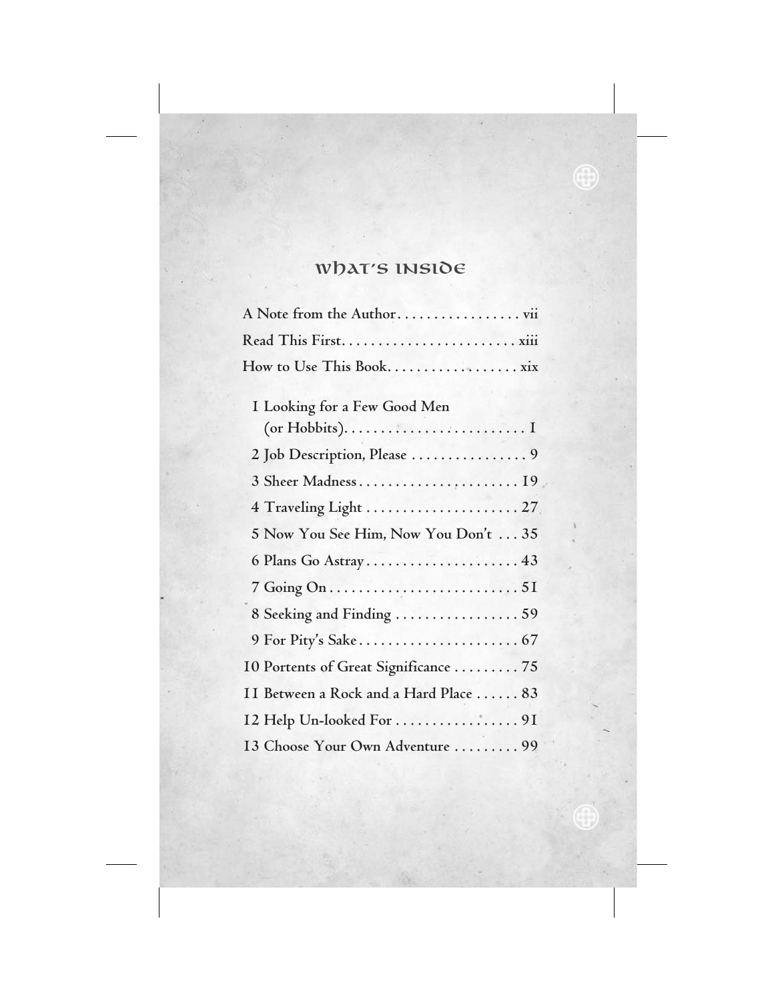# What's Inside

| A Note from the Author                |
|---------------------------------------|
|                                       |
|                                       |
|                                       |
| I Looking for a Few Good Men          |
|                                       |
| 2 Job Description, Please  9          |
| 3 Sheer Madness 19                    |
| 4 Traveling Light  27                 |
| 5 Now You See Him, Now You Don't  35  |
| 6 Plans Go Astray 43                  |
|                                       |
| 8 Seeking and Finding 59              |
|                                       |
| 10 Portents of Great Significance 75  |
| II Between a Rock and a Hard Place 83 |
| I2 Help Un-looked For 91              |
| 13 Choose Your Own Adventure  99      |

 $\bigoplus$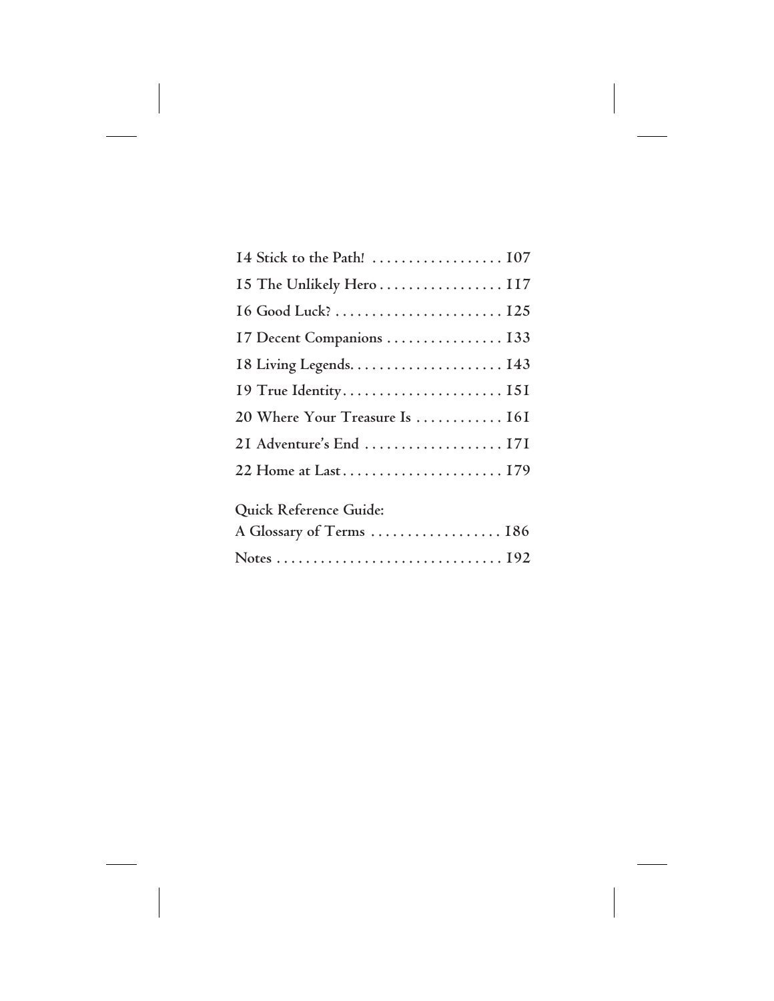| 15 The Unlikely Hero  117      |
|--------------------------------|
|                                |
| 17 Decent Companions  133      |
|                                |
|                                |
| 20 Where Your Treasure Is  161 |
| 2I Adventure's End  171        |
|                                |
| Quick Reference Guide:         |
| A Glossary of Terms  186       |
|                                |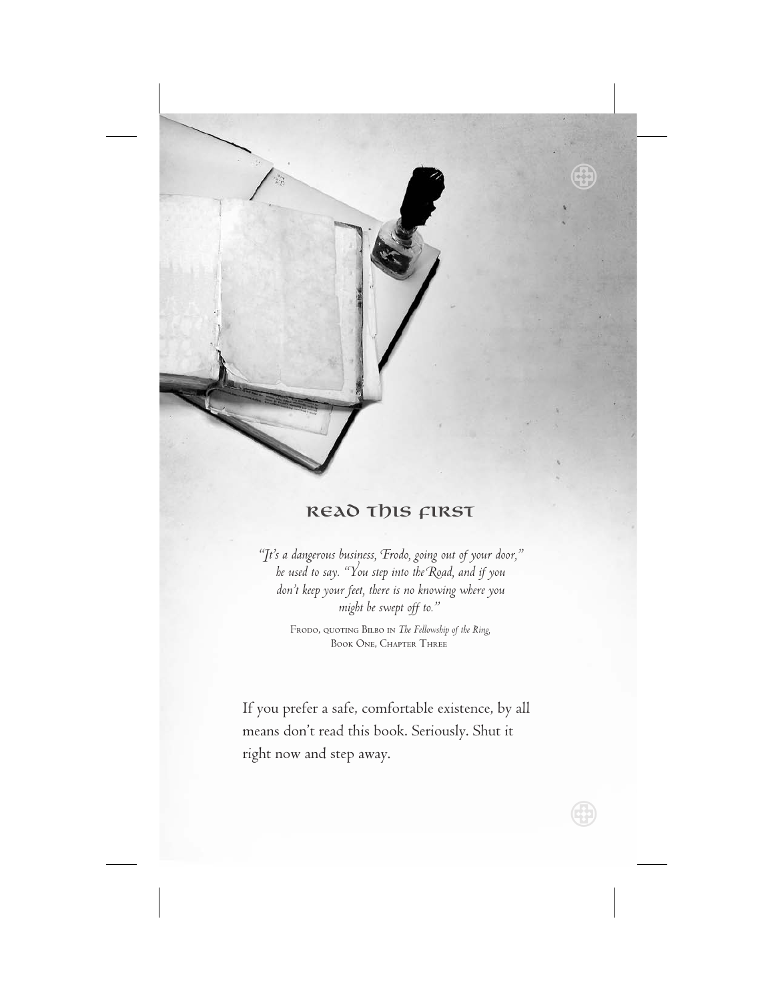

 $\bigoplus$ 

## Read This First

*"It's a dangerous business, Frodo, going out of your door," he used to say. "You step into the Road, and if you don't keep your feet, there is no knowing where you might be swept off to."*

> Frodo, quoting Bilbo in *The Fellowship of the Ring,* Book One, Chapter Three

If you prefer a safe, comfortable existence, by all means don't read this book. Seriously. Shut it right now and step away.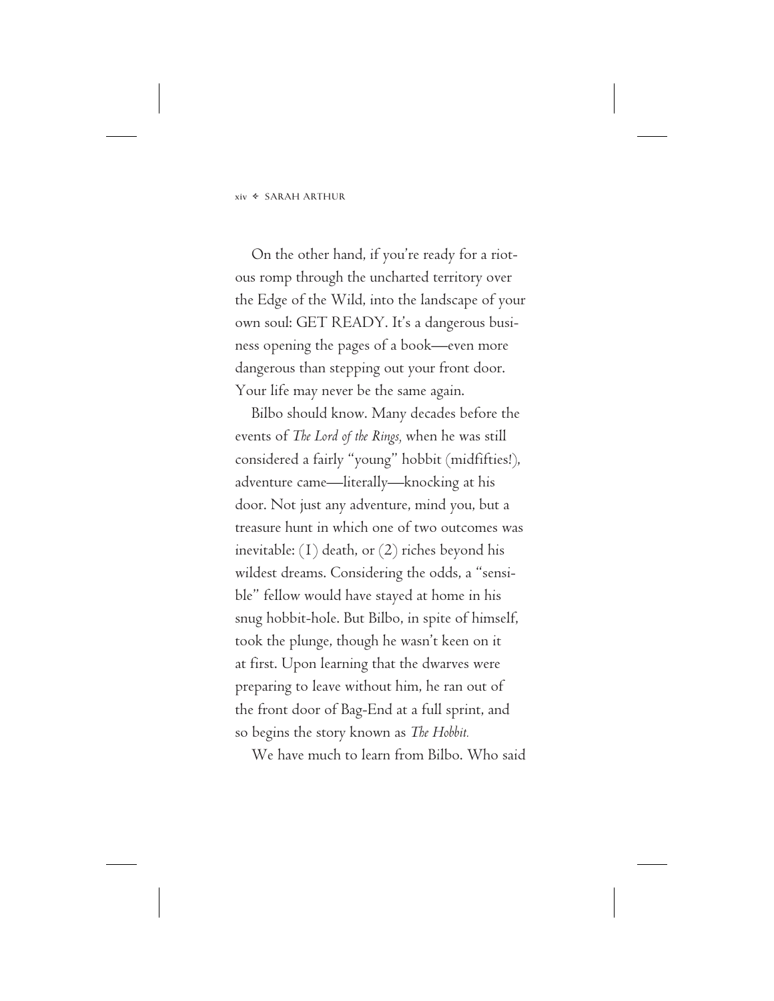On the other hand, if you're ready for a riotous romp through the uncharted territory over the Edge of the Wild, into the landscape of your own soul: GET READY. It's a dangerous business opening the pages of a book—even more dangerous than stepping out your front door. Your life may never be the same again.

Bilbo should know. Many decades before the events of *The Lord of the Rings,* when he was still considered a fairly "young" hobbit (midfifties!), adventure came—literally—knocking at his door. Not just any adventure, mind you, but a treasure hunt in which one of two outcomes was inevitable: (1) death, or (2) riches beyond his wildest dreams. Considering the odds, a "sensible" fellow would have stayed at home in his snug hobbit-hole. But Bilbo, in spite of himself, took the plunge, though he wasn't keen on it at first. Upon learning that the dwarves were preparing to leave without him, he ran out of the front door of Bag-End at a full sprint, and so begins the story known as *The Hobbit.*

We have much to learn from Bilbo. Who said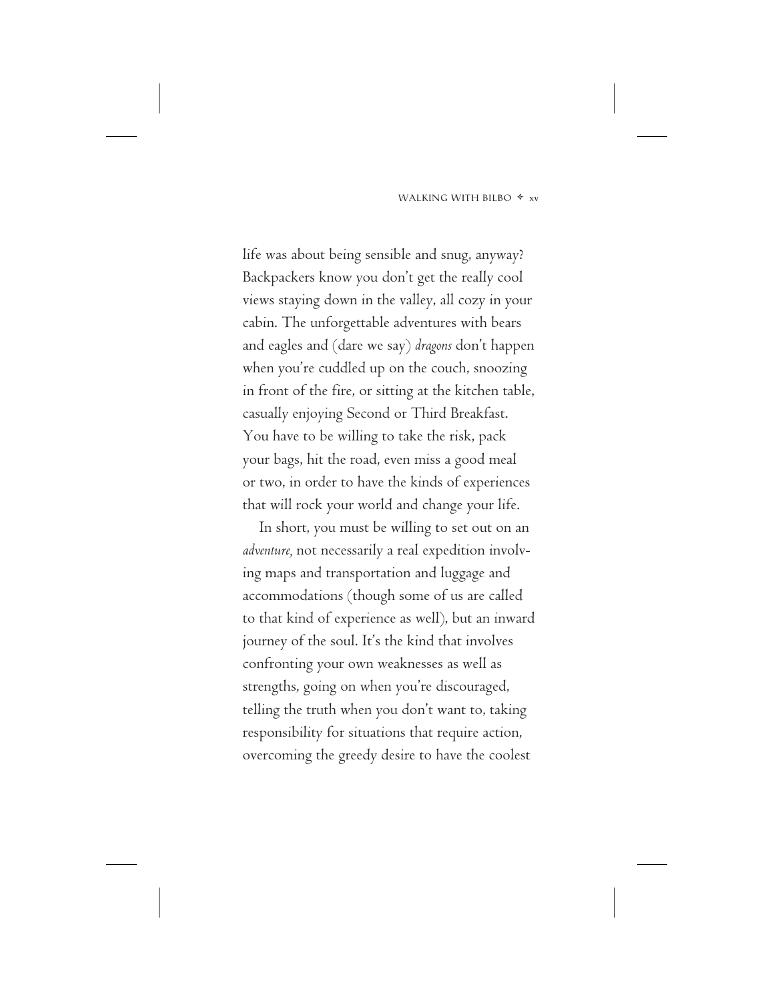life was about being sensible and snug, anyway? Backpackers know you don't get the really cool views staying down in the valley, all cozy in your cabin. The unforgettable adventures with bears and eagles and (dare we say) *dragons* don't happen when you're cuddled up on the couch, snoozing in front of the fire, or sitting at the kitchen table, casually enjoying Second or Third Breakfast. You have to be willing to take the risk, pack your bags, hit the road, even miss a good meal or two, in order to have the kinds of experiences that will rock your world and change your life.

In short, you must be willing to set out on an *adventure,* not necessarily a real expedition involving maps and transportation and luggage and accommodations (though some of us are called to that kind of experience as well), but an inward journey of the soul. It's the kind that involves confronting your own weaknesses as well as strengths, going on when you're discouraged, telling the truth when you don't want to, taking responsibility for situations that require action, overcoming the greedy desire to have the coolest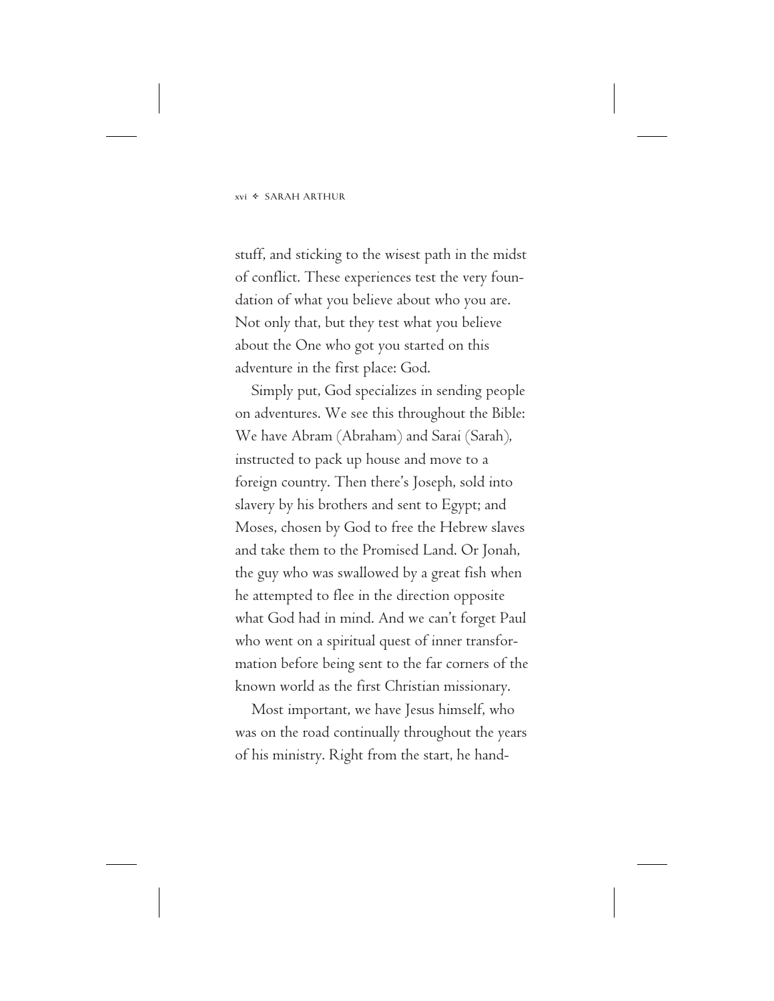stuff, and sticking to the wisest path in the midst of conflict. These experiences test the very foundation of what you believe about who you are. Not only that, but they test what you believe about the One who got you started on this adventure in the first place: God.

Simply put, God specializes in sending people on adventures. We see this throughout the Bible: We have Abram (Abraham) and Sarai (Sarah), instructed to pack up house and move to a foreign country. Then there's Joseph, sold into slavery by his brothers and sent to Egypt; and Moses, chosen by God to free the Hebrew slaves and take them to the Promised Land. Or Jonah, the guy who was swallowed by a great fish when he attempted to flee in the direction opposite what God had in mind. And we can't forget Paul who went on a spiritual quest of inner transformation before being sent to the far corners of the known world as the first Christian missionary.

Most important, we have Jesus himself, who was on the road continually throughout the years of his ministry. Right from the start, he hand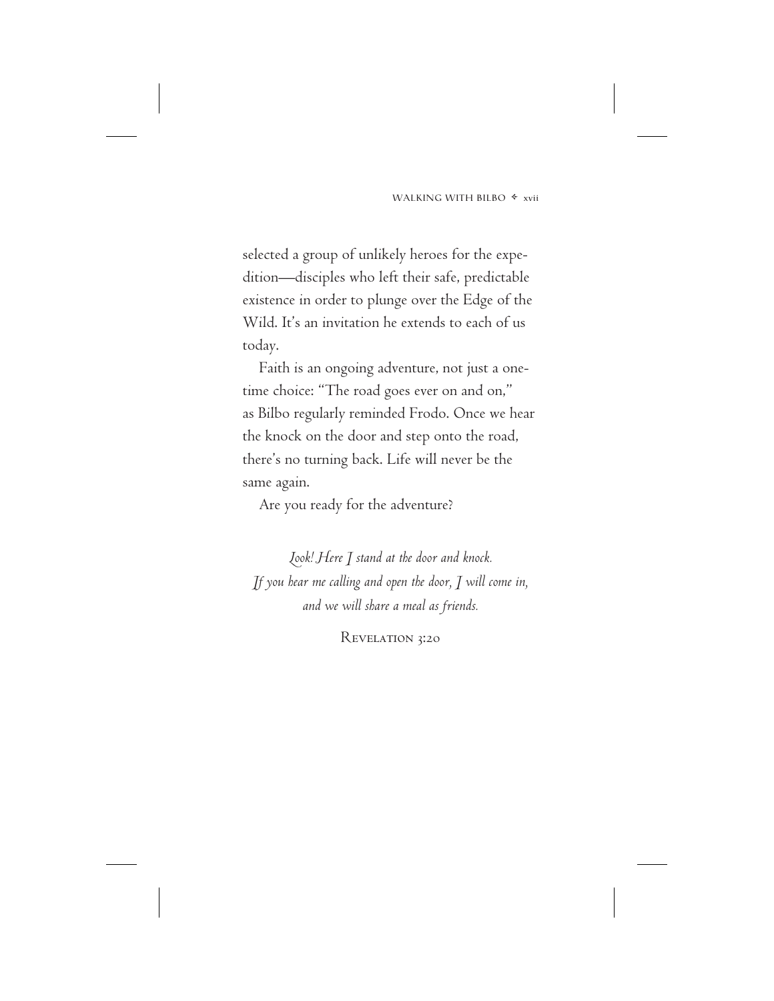selected a group of unlikely heroes for the expedition—disciples who left their safe, predictable existence in order to plunge over the Edge of the Wild. It's an invitation he extends to each of us today.

Faith is an ongoing adventure, not just a onetime choice: "The road goes ever on and on," as Bilbo regularly reminded Frodo. Once we hear the knock on the door and step onto the road, there's no turning back. Life will never be the same again.

Are you ready for the adventure?

*Look! Here I stand at the door and knock. If you hear me calling and open the door, I will come in, and we will share a meal as friends.*

REVELATION 3:20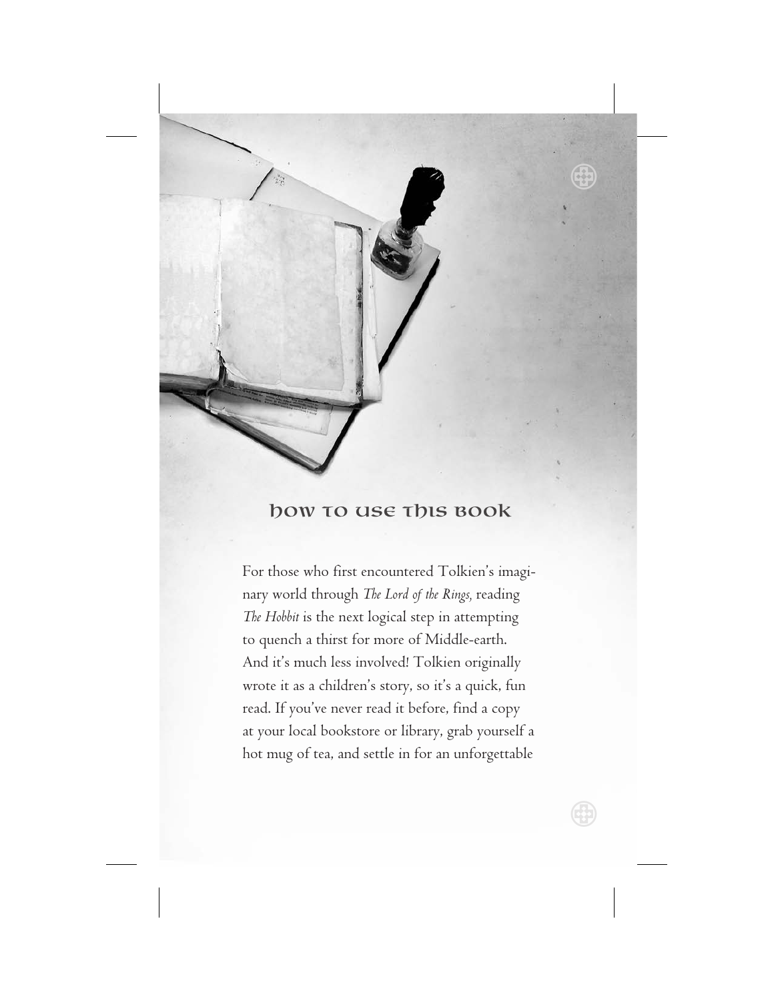

## how to use this Book

For those who first encountered Tolkien's imaginary world through *The Lord of the Rings,* reading *The Hobbit* is the next logical step in attempting to quench a thirst for more of Middle-earth. And it's much less involved! Tolkien originally wrote it as a children's story, so it's a quick, fun read. If you've never read it before, find a copy at your local bookstore or library, grab yourself a hot mug of tea, and settle in for an unforgettable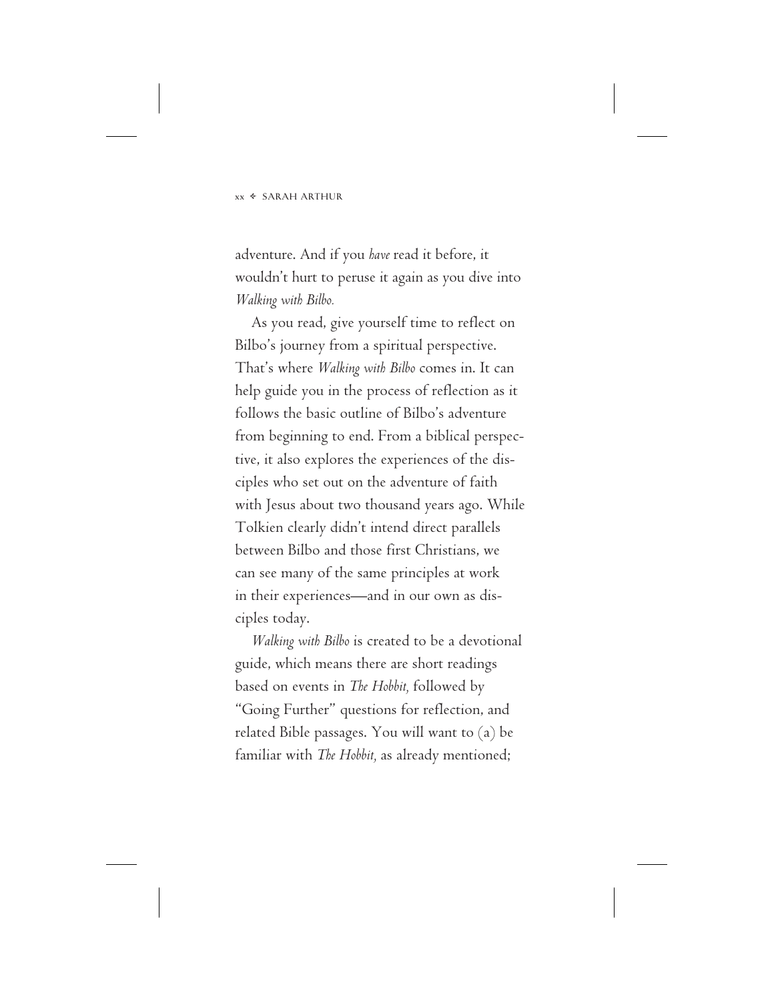adventure. And if you *have* read it before, it wouldn't hurt to peruse it again as you dive into *Walking with Bilbo.*

As you read, give yourself time to reflect on Bilbo's journey from a spiritual perspective. That's where *Walking with Bilbo* comes in. It can help guide you in the process of reflection as it follows the basic outline of Bilbo's adventure from beginning to end. From a biblical perspective, it also explores the experiences of the disciples who set out on the adventure of faith with Jesus about two thousand years ago. While Tolkien clearly didn't intend direct parallels between Bilbo and those first Christians, we can see many of the same principles at work in their experiences—and in our own as disciples today.

*Walking with Bilbo* is created to be a devotional guide, which means there are short readings based on events in *The Hobbit,* followed by "Going Further" questions for reflection, and related Bible passages. You will want to (a) be familiar with *The Hobbit,* as already mentioned;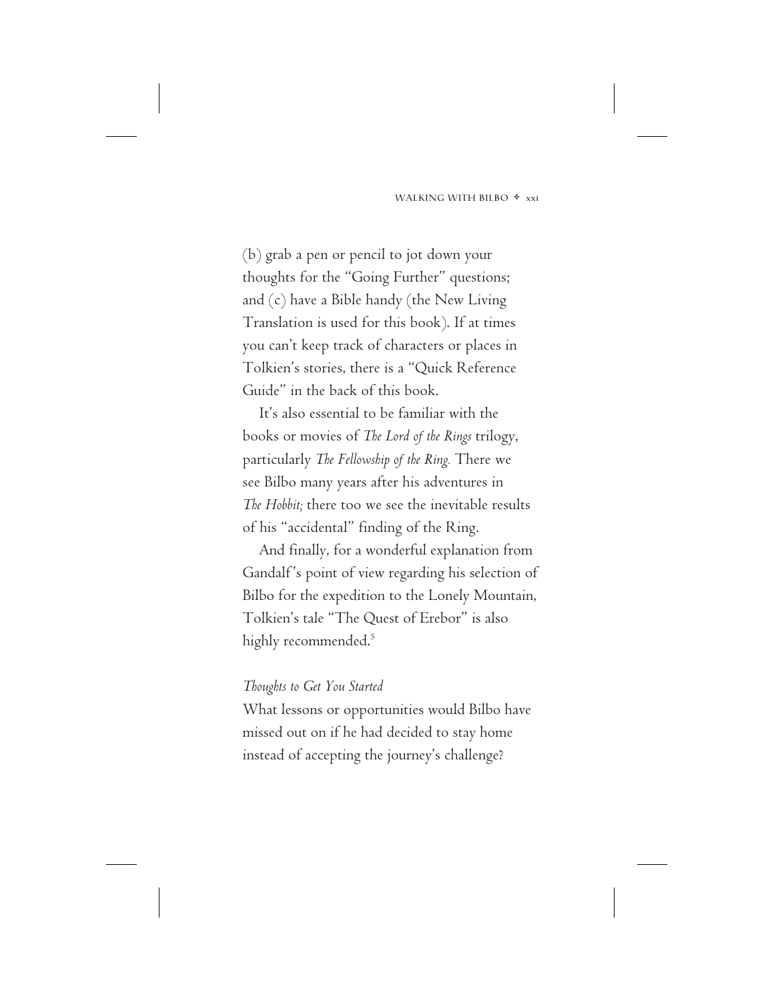(b) grab a pen or pencil to jot down your thoughts for the "Going Further" questions; and (c) have a Bible handy (the New Living Translation is used for this book). If at times you can't keep track of characters or places in Tolkien's stories, there is a "Quick Reference Guide" in the back of this book.

It's also essential to be familiar with the books or movies of *The Lord of the Rings* trilogy, particularly *The Fellowship of the Ring.* There we see Bilbo many years after his adventures in *The Hobbit;* there too we see the inevitable results of his "accidental" finding of the Ring.

And finally, for a wonderful explanation from Gandalf's point of view regarding his selection of Bilbo for the expedition to the Lonely Mountain, Tolkien's tale "The Quest of Erebor" is also highly recommended.<sup>5</sup>

#### *Thoughts to Get You Started*

What lessons or opportunities would Bilbo have missed out on if he had decided to stay home instead of accepting the journey's challenge?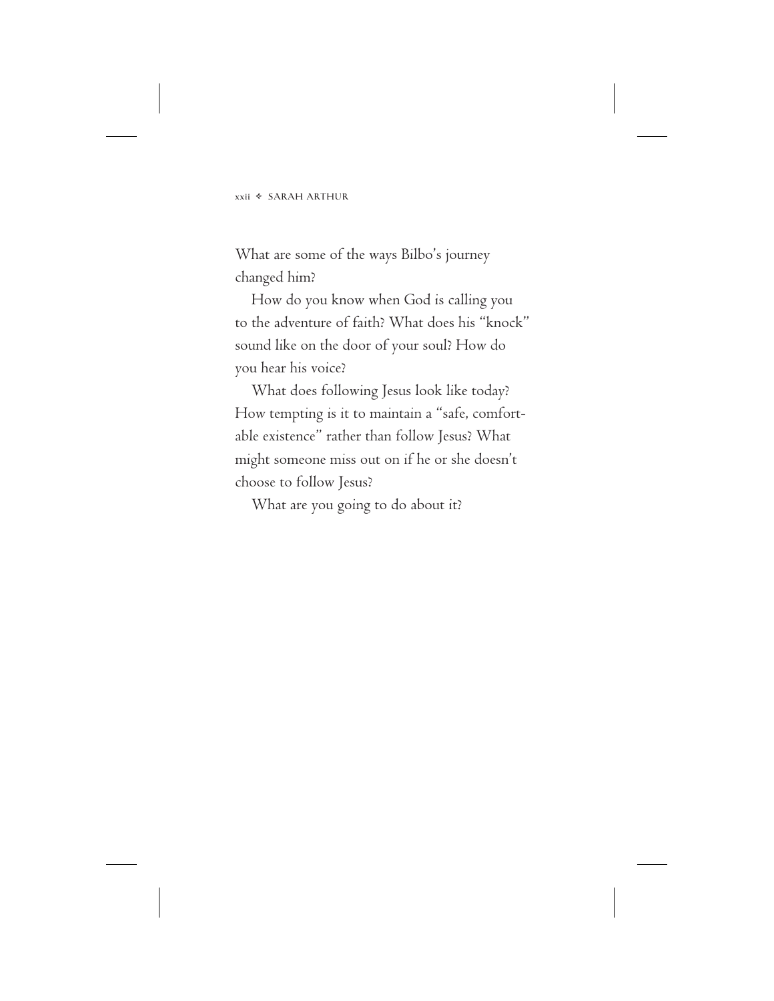What are some of the ways Bilbo's journey changed him?

How do you know when God is calling you to the adventure of faith? What does his "knock" sound like on the door of your soul? How do you hear his voice?

What does following Jesus look like today? How tempting is it to maintain a "safe, comfortable existence" rather than follow Jesus? What might someone miss out on if he or she doesn't choose to follow Jesus?

What are you going to do about it?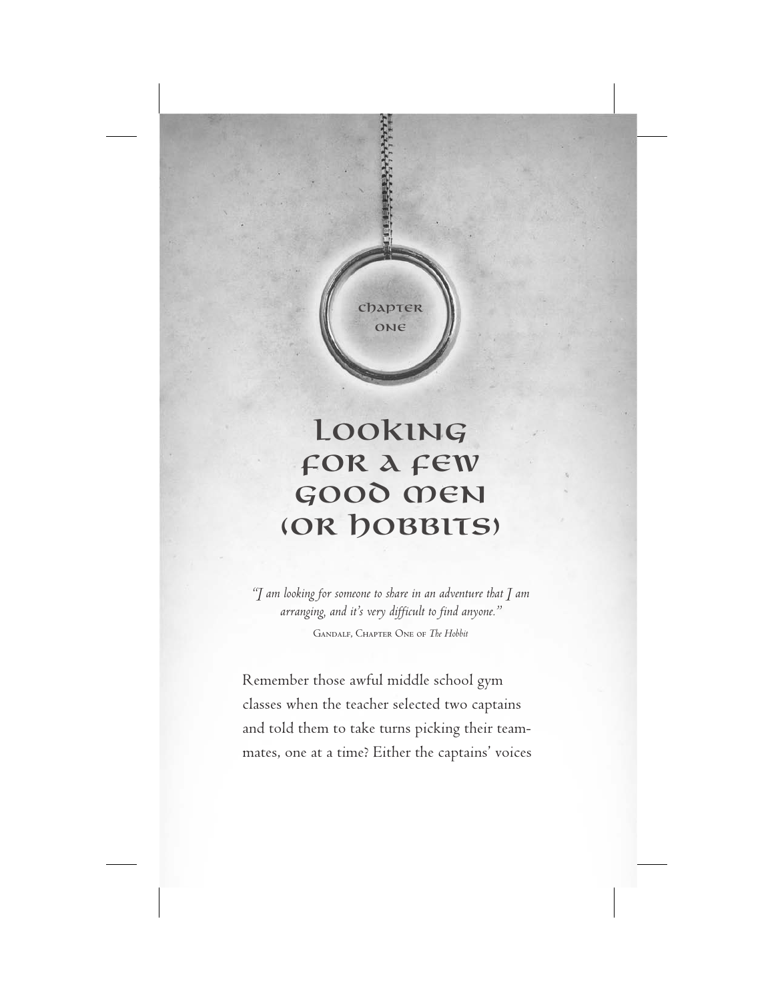

# Looking for a Few Good Men (OR DOBBITS)

*"I am looking for someone to share in an adventure that I am arranging, and it's very difficult to find anyone."*

Gandalf, Chapter One of *The Hobbit*

Remember those awful middle school gym classes when the teacher selected two captains and told them to take turns picking their teammates, one at a time? Either the captains' voices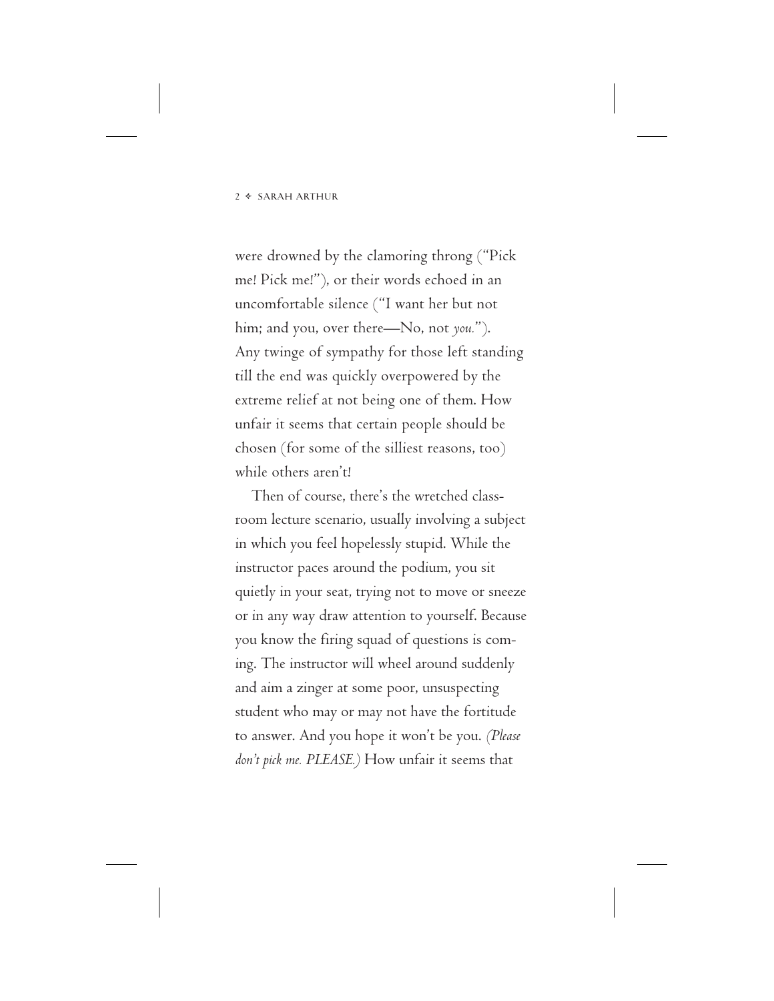were drowned by the clamoring throng ("Pick me! Pick me!"), or their words echoed in an uncomfortable silence ("I want her but not him; and you, over there—No, not *you.*"). Any twinge of sympathy for those left standing till the end was quickly overpowered by the extreme relief at not being one of them. How unfair it seems that certain people should be chosen (for some of the silliest reasons, too) while others aren't!

Then of course, there's the wretched classroom lecture scenario, usually involving a subject in which you feel hopelessly stupid. While the instructor paces around the podium, you sit quietly in your seat, trying not to move or sneeze or in any way draw attention to yourself. Because you know the firing squad of questions is coming. The instructor will wheel around suddenly and aim a zinger at some poor, unsuspecting student who may or may not have the fortitude to answer. And you hope it won't be you. *(Please don't pick me. PLEASE.)* How unfair it seems that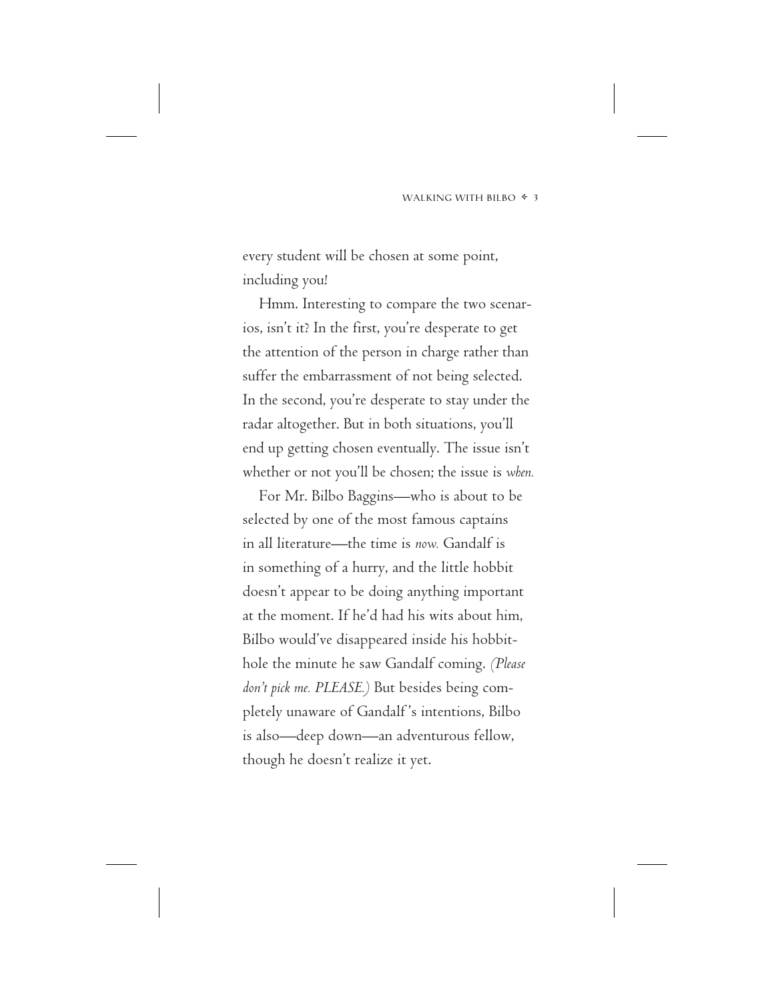every student will be chosen at some point, including you!

Hmm. Interesting to compare the two scenarios, isn't it? In the first, you're desperate to get the attention of the person in charge rather than suffer the embarrassment of not being selected. In the second, you're desperate to stay under the radar altogether. But in both situations, you'll end up getting chosen eventually. The issue isn't whether or not you'll be chosen; the issue is *when.*

For Mr. Bilbo Baggins—who is about to be selected by one of the most famous captains in all literature—the time is *now.* Gandalf is in something of a hurry, and the little hobbit doesn't appear to be doing anything important at the moment. If he'd had his wits about him, Bilbo would've disappeared inside his hobbithole the minute he saw Gandalf coming. *(Please don't pick me. PLEASE.)* But besides being completely unaware of Gandalf 's intentions, Bilbo is also—deep down—an adventurous fellow, though he doesn't realize it yet.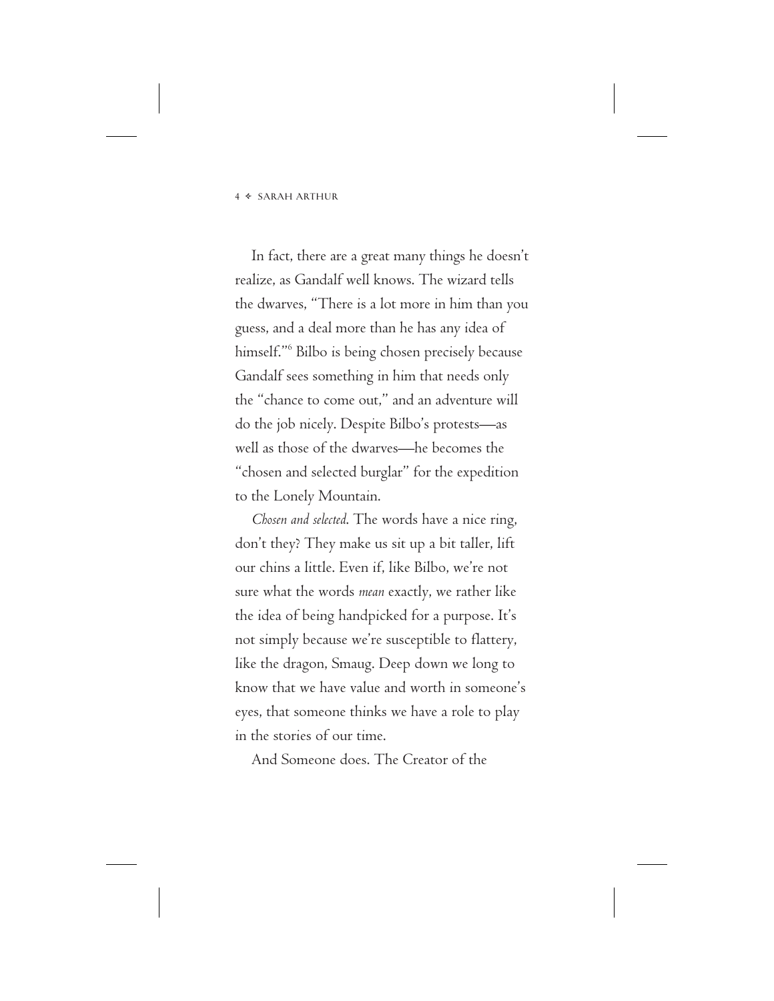#### <sup>4</sup> SARAH ARTHUR

In fact, there are a great many things he doesn't realize, as Gandalf well knows. The wizard tells the dwarves, "There is a lot more in him than you guess, and a deal more than he has any idea of himself."<sup>6</sup> Bilbo is being chosen precisely because Gandalf sees something in him that needs only the "chance to come out," and an adventure will do the job nicely. Despite Bilbo's protests—as well as those of the dwarves—he becomes the "chosen and selected burglar" for the expedition to the Lonely Mountain.

*Chosen and selected*. The words have a nice ring, don't they? They make us sit up a bit taller, lift our chins a little. Even if, like Bilbo, we're not sure what the words *mean* exactly, we rather like the idea of being handpicked for a purpose. It's not simply because we're susceptible to flattery, like the dragon, Smaug. Deep down we long to know that we have value and worth in someone's eyes, that someone thinks we have a role to play in the stories of our time.

And Someone does. The Creator of the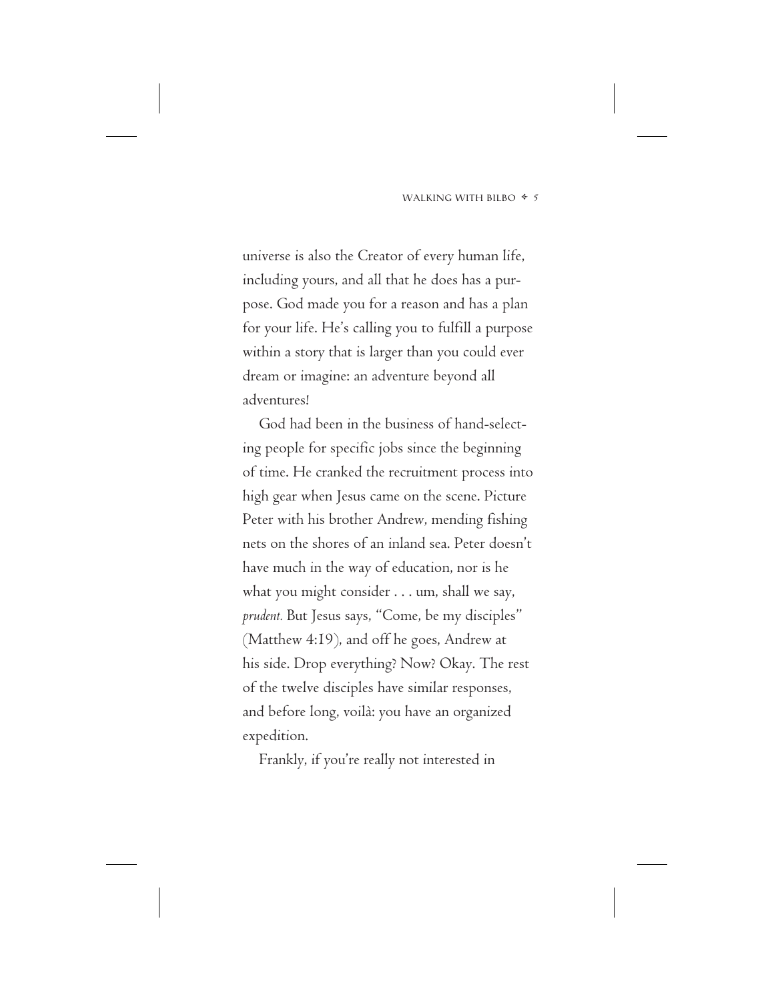universe is also the Creator of every human life, including yours, and all that he does has a purpose. God made you for a reason and has a plan for your life. He's calling you to fulfill a purpose within a story that is larger than you could ever dream or imagine: an adventure beyond all adventures!

God had been in the business of hand-selecting people for specific jobs since the beginning of time. He cranked the recruitment process into high gear when Jesus came on the scene. Picture Peter with his brother Andrew, mending fishing nets on the shores of an inland sea. Peter doesn't have much in the way of education, nor is he what you might consider . . . um, shall we say, *prudent.* But Jesus says, "Come, be my disciples" (Matthew 4:19), and off he goes, Andrew at his side. Drop everything? Now? Okay. The rest of the twelve disciples have similar responses, and before long, voilà: you have an organized expedition.

Frankly, if you're really not interested in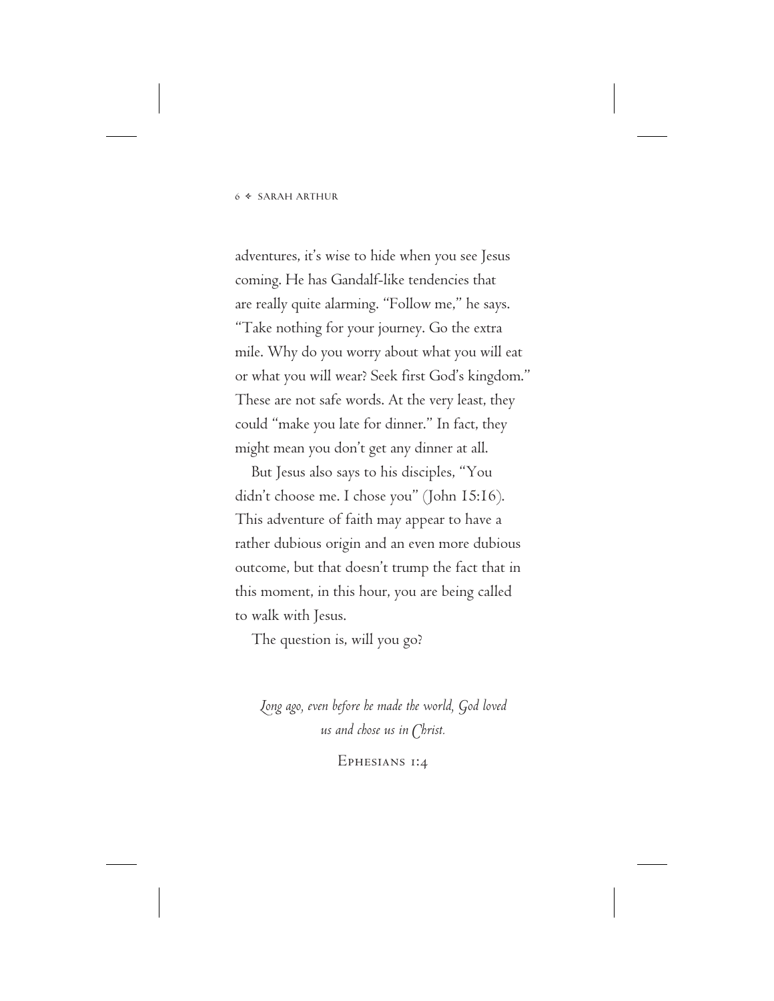adventures, it's wise to hide when you see Jesus coming. He has Gandalf-like tendencies that are really quite alarming. "Follow me," he says. "Take nothing for your journey. Go the extra mile. Why do you worry about what you will eat or what you will wear? Seek first God's kingdom." These are not safe words. At the very least, they could "make you late for dinner." In fact, they might mean you don't get any dinner at all.

But Jesus also says to his disciples, "You didn't choose me. I chose you" (John 15:16). This adventure of faith may appear to have a rather dubious origin and an even more dubious outcome, but that doesn't trump the fact that in this moment, in this hour, you are being called to walk with Jesus.

The question is, will you go?

*Long ago, even before he made the world, God loved us and chose us in Christ.*

Ephesians 1:4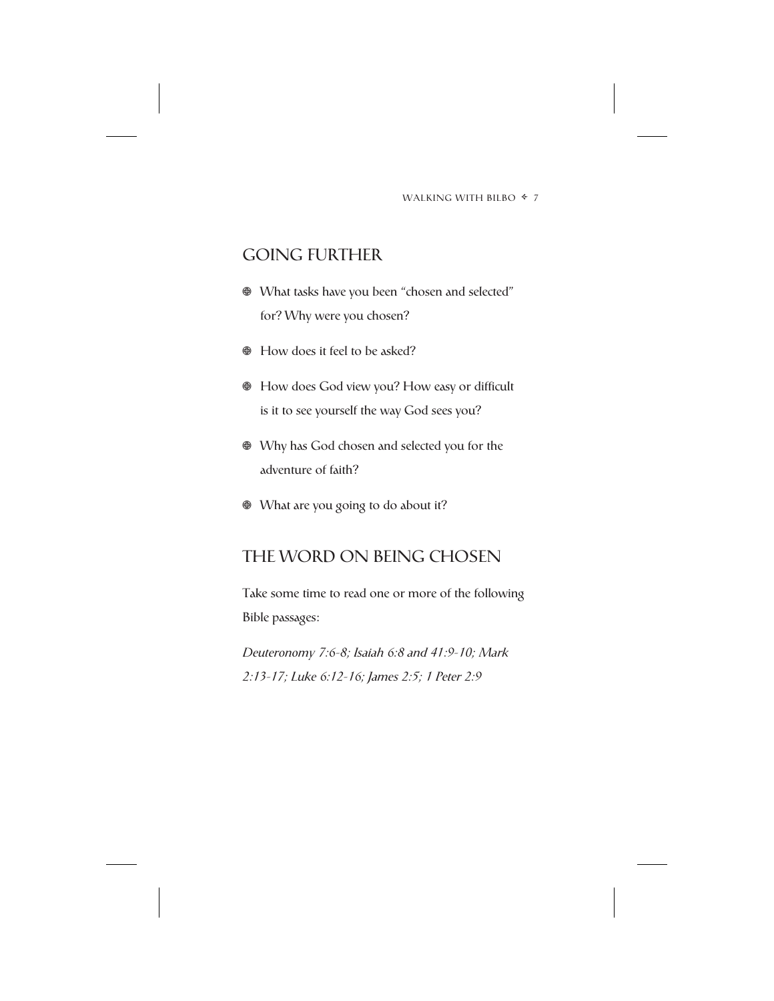## GOING FURTHER

- What tasks have you been "chosen and selected" for? Why were you chosen?
- $\bullet$  How does it feel to be asked?
- How does God view you? How easy or difficult is it to see yourself the way God sees you?
- Why has God chosen and selected you for the adventure of faith?
- What are you going to do about it?

## THE WORD ON BEING CHOSEN

Take some time to read one or more of the following Bible passages:

*Deuteronomy 7:6-8; Isaiah 6:8 and 41:9-10; Mark 2:13-17; Luke 6:12-16; James 2:5; 1 Peter 2:9*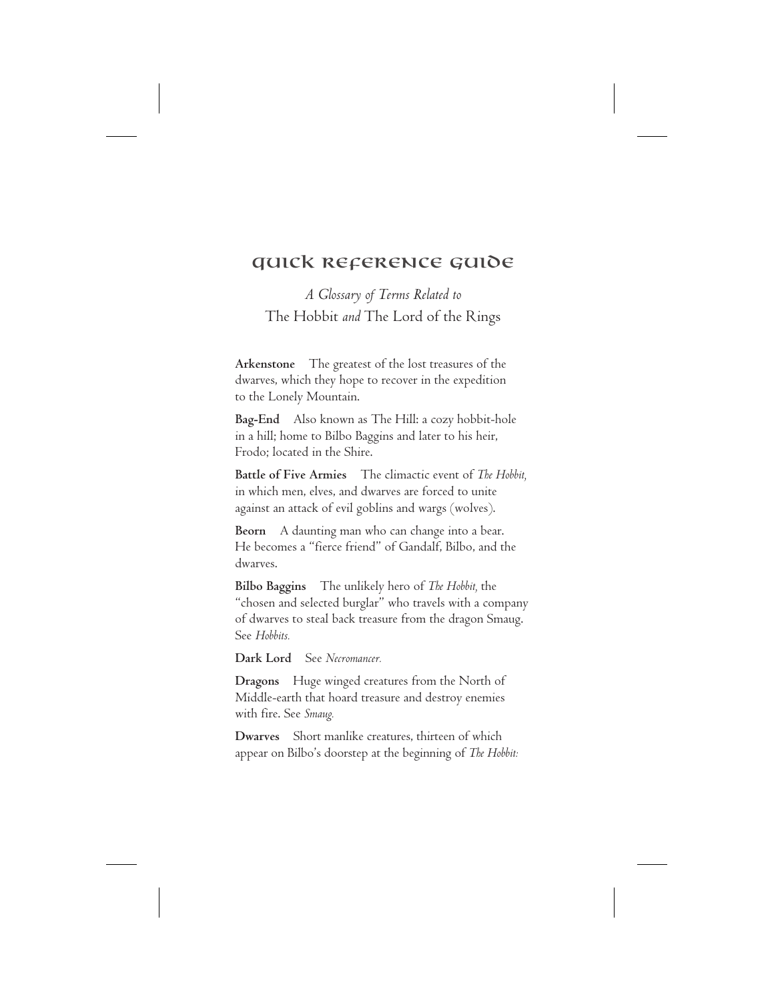## Quick Reference Guide

*A Glossary of Terms Related to* The Hobbit *and* The Lord of the Rings

**Arkenstone** The greatest of the lost treasures of the dwarves, which they hope to recover in the expedition to the Lonely Mountain.

**Bag-End** Also known as The Hill: a cozy hobbit-hole in a hill; home to Bilbo Baggins and later to his heir, Frodo; located in the Shire.

**Battle of Five Armies** The climactic event of *The Hobbit,* in which men, elves, and dwarves are forced to unite against an attack of evil goblins and wargs (wolves).

**Beorn** A daunting man who can change into a bear. He becomes a "fierce friend" of Gandalf, Bilbo, and the dwarves.

**Bilbo Baggins** The unlikely hero of *The Hobbit,* the "chosen and selected burglar" who travels with a company of dwarves to steal back treasure from the dragon Smaug. See *Hobbits.*

**Dark Lord** See *Necromancer.*

**Dragons** Huge winged creatures from the North of Middle-earth that hoard treasure and destroy enemies with fire. See *Smaug.*

**Dwarves** Short manlike creatures, thirteen of which appear on Bilbo's doorstep at the beginning of *The Hobbit:*